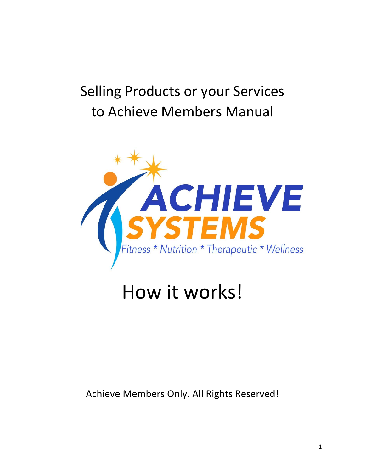# Selling Products or your Services to Achieve Members Manual



# How it works!

### Achieve Members Only. All Rights Reserved!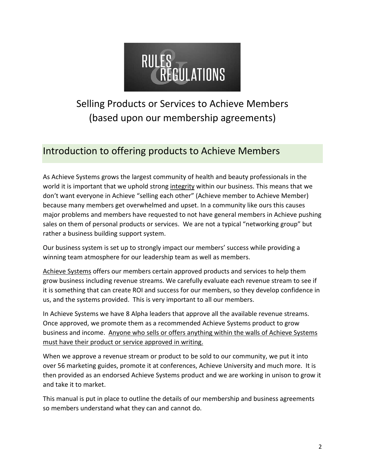

## Selling Products or Services to Achieve Members (based upon our membership agreements)

## Introduction to offering products to Achieve Members

As Achieve Systems grows the largest community of health and beauty professionals in the world it is important that we uphold strong integrity within our business. This means that we don't want everyone in Achieve "selling each other" (Achieve member to Achieve Member) because many members get overwhelmed and upset. In a community like ours this causes major problems and members have requested to not have general members in Achieve pushing sales on them of personal products or services. We are not a typical "networking group" but rather a business building support system.

Our business system is set up to strongly impact our members' success while providing a winning team atmosphere for our leadership team as well as members.

Achieve Systems offers our members certain approved products and services to help them grow business including revenue streams. We carefully evaluate each revenue stream to see if it is something that can create ROI and success for our members, so they develop confidence in us, and the systems provided. This is very important to all our members.

In Achieve Systems we have 8 Alpha leaders that approve all the available revenue streams. Once approved, we promote them as a recommended Achieve Systems product to grow business and income. Anyone who sells or offers anything within the walls of Achieve Systems must have their product or service approved in writing.

When we approve a revenue stream or product to be sold to our community, we put it into over 56 marketing guides, promote it at conferences, Achieve University and much more. It is then provided as an endorsed Achieve Systems product and we are working in unison to grow it and take it to market.

This manual is put in place to outline the details of our membership and business agreements so members understand what they can and cannot do.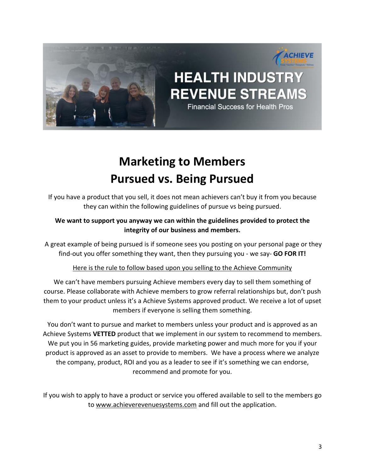

## **Marketing to Members Pursued vs. Being Pursued**

If you have a product that you sell, it does not mean achievers can't buy it from you because they can within the following guidelines of pursue vs being pursued.

#### **We want to support you anyway we can within the guidelines provided to protect the integrity of our business and members.**

A great example of being pursued is if someone sees you posting on your personal page or they find-out you offer something they want, then they pursuing you - we say- **GO FOR IT!**

Here is the rule to follow based upon you selling to the Achieve Community

We can't have members pursuing Achieve members every day to sell them something of course. Please collaborate with Achieve members to grow referral relationships but, don't push them to your product unless it's a Achieve Systems approved product. We receive a lot of upset members if everyone is selling them something.

You don't want to pursue and market to members unless your product and is approved as an Achieve Systems **VETTED** product that we implement in our system to recommend to members. We put you in 56 marketing guides, provide marketing power and much more for you if your product is approved as an asset to provide to members. We have a process where we analyze the company, product, ROI and you as a leader to see if it's something we can endorse, recommend and promote for you.

If you wish to apply to have a product or service you offered available to sell to the members go to [www.achieverevenuesystems.com](http://www.achieverevenuesystems.com/) and fill out the application.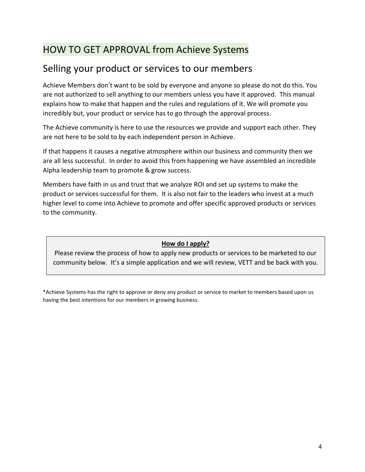## HOW TO GET APPROVAL from Achieve Systems

## Selling your product or services to our members

Achieve Members don't want to be sold by everyone and anyone so please do not do this. You are not authorized to sell anything to our members unless you have it approved. This manual explains how to make that happen and the rules and regulations of it. We will promote you incredibly but, your product or service has to go through the approval process.

The Achieve community is here to use the resources we provide and support each other. They are not here to be sold to by each independent person in Achieve.

If that happens it causes a negative atmosphere within our business and community then we are all less successful. In order to avoid this from happening we have assembled an incredible Alpha leadership team to promote & grow success.

Members have faith in us and trust that we analyze ROI and set up systems to make the product or services successful for them. It is also not fair to the leaders who invest at a much higher level to come into Achieve to promote and offer specific approved products or services to the community.

#### **How do I apply?**

Please review the process of how to apply new products or services to be marketed to our community below. It's a simple application and we will review, VETT and be back with you.

\*Achieve Systems has the right to approve or deny any product or service to market to members based upon us having the best intentions for our members in growing business.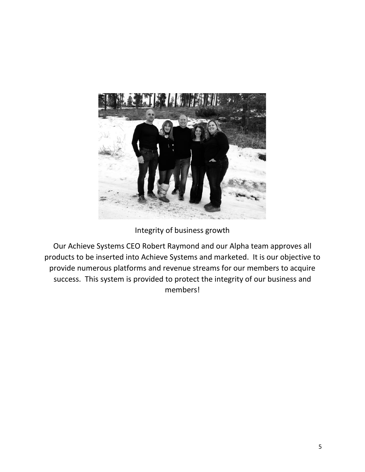

#### Integrity of business growth

Our Achieve Systems CEO Robert Raymond and our Alpha team approves all products to be inserted into Achieve Systems and marketed. It is our objective to provide numerous platforms and revenue streams for our members to acquire success. This system is provided to protect the integrity of our business and members!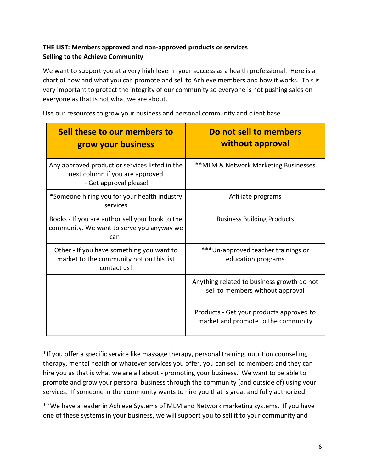#### **THE LIST: Members approved and non-approved products or services Selling to the Achieve Community**

We want to support you at a very high level in your success as a health professional. Here is a chart of how and what you can promote and sell to Achieve members and how it works. This is very important to protect the integrity of our community so everyone is not pushing sales on everyone as that is not what we are about.

| Sell these to our members to<br>grow your business                                                          | Do not sell to members<br>without approval                                      |
|-------------------------------------------------------------------------------------------------------------|---------------------------------------------------------------------------------|
| Any approved product or services listed in the<br>next column if you are approved<br>- Get approval please! | ** MLM & Network Marketing Businesses                                           |
| *Someone hiring you for your health industry<br>services                                                    | Affiliate programs                                                              |
| Books - If you are author sell your book to the<br>community. We want to serve you anyway we<br>can!        | <b>Business Building Products</b>                                               |
| Other - If you have something you want to<br>market to the community not on this list<br>contact us!        | ***Un-approved teacher trainings or<br>education programs                       |
|                                                                                                             | Anything related to business growth do not<br>sell to members without approval  |
|                                                                                                             | Products - Get your products approved to<br>market and promote to the community |

Use our resources to grow your business and personal community and client base.

\*If you offer a specific service like massage therapy, personal training, nutrition counseling, therapy, mental health or whatever services you offer, you can sell to members and they can hire you as that is what we are all about - promoting your business. We want to be able to promote and grow your personal business through the community (and outside of) using your services. If someone in the community wants to hire you that is great and fully authorized.

\*\*We have a leader in Achieve Systems of MLM and Network marketing systems. If you have one of these systems in your business, we will support you to sell it to your community and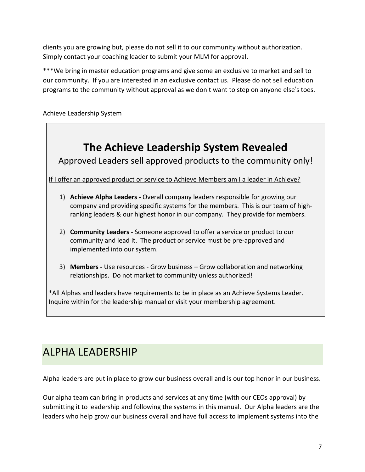clients you are growing but, please do not sell it to our community without authorization. Simply contact your coaching leader to submit your MLM for approval.

\*\*\*We bring in master education programs and give some an exclusive to market and sell to our community. If you are interested in an exclusive contact us. Please do not sell education programs to the community without approval as we don't want to step on anyone else's toes.

Achieve Leadership System



3) **Members -** Use resources - Grow business – Grow collaboration and networking relationships. Do not market to community unless authorized!

\*All Alphas and leaders have requirements to be in place as an Achieve Systems Leader. Inquire within for the leadership manual or visit your membership agreement.

## ALPHA LEADERSHIP

Alpha leaders are put in place to grow our business overall and is our top honor in our business.

Our alpha team can bring in products and services at any time (with our CEOs approval) by submitting it to leadership and following the systems in this manual. Our Alpha leaders are the leaders who help grow our business overall and have full access to implement systems into the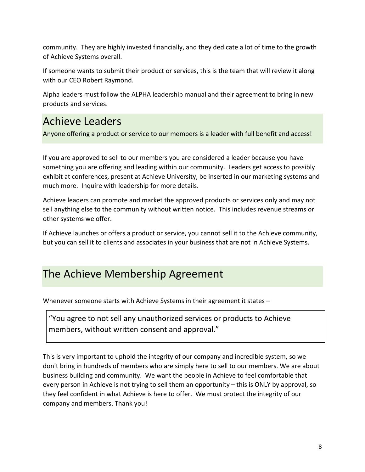community. They are highly invested financially, and they dedicate a lot of time to the growth of Achieve Systems overall.

If someone wants to submit their product or services, this is the team that will review it along with our CEO Robert Raymond.

Alpha leaders must follow the ALPHA leadership manual and their agreement to bring in new products and services.

## Achieve Leaders

Anyone offering a product or service to our members is a leader with full benefit and access!

If you are approved to sell to our members you are considered a leader because you have something you are offering and leading within our community. Leaders get access to possibly exhibit at conferences, present at Achieve University, be inserted in our marketing systems and much more. Inquire with leadership for more details.

Achieve leaders can promote and market the approved products or services only and may not sell anything else to the community without written notice. This includes revenue streams or other systems we offer.

If Achieve launches or offers a product or service, you cannot sell it to the Achieve community, but you can sell it to clients and associates in your business that are not in Achieve Systems.

## The Achieve Membership Agreement

Whenever someone starts with Achieve Systems in their agreement it states –

"You agree to not sell any unauthorized services or products to Achieve members, without written consent and approval."

This is very important to uphold the integrity of our company and incredible system, so we don't bring in hundreds of members who are simply here to sell to our members. We are about business building and community. We want the people in Achieve to feel comfortable that every person in Achieve is not trying to sell them an opportunity – this is ONLY by approval, so they feel confident in what Achieve is here to offer. We must protect the integrity of our company and members. Thank you!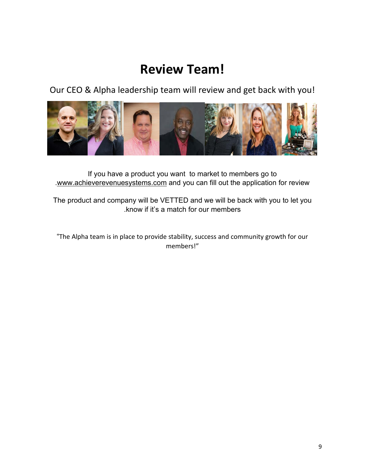## **Review Team!**

Our CEO & Alpha leadership team will review and get back with you!



If you have a product you want to market to members go to [.www.achieverevenuesystems.com](http://www.achieverevenuesystems.com/) and you can fill out the application for review

The product and company will be VETTED and we will be back with you to let you .know if it's a match for our members

"The Alpha team is in place to provide stability, success and community growth for our members!"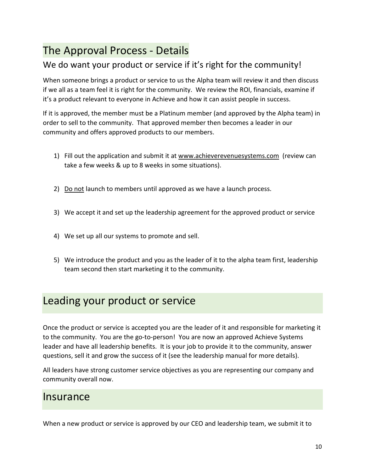## The Approval Process - Details

### We do want your product or service if it's right for the community!

When someone brings a product or service to us the Alpha team will review it and then discuss if we all as a team feel it is right for the community. We review the ROI, financials, examine if it's a product relevant to everyone in Achieve and how it can assist people in success.

If it is approved, the member must be a Platinum member (and approved by the Alpha team) in order to sell to the community. That approved member then becomes a leader in our community and offers approved products to our members.

- 1) Fill out the application and submit it at [www.achieverevenuesystems.com](http://www.achieverevenuesystems.com/) (review can take a few weeks & up to 8 weeks in some situations).
- 2) Do not launch to members until approved as we have a launch process.
- 3) We accept it and set up the leadership agreement for the approved product or service
- 4) We set up all our systems to promote and sell.
- 5) We introduce the product and you as the leader of it to the alpha team first, leadership team second then start marketing it to the community.

## Leading your product or service

Once the product or service is accepted you are the leader of it and responsible for marketing it to the community. You are the go-to-person! You are now an approved Achieve Systems leader and have all leadership benefits. It is your job to provide it to the community, answer questions, sell it and grow the success of it (see the leadership manual for more details).

All leaders have strong customer service objectives as you are representing our company and community overall now.

### Insurance

When a new product or service is approved by our CEO and leadership team, we submit it to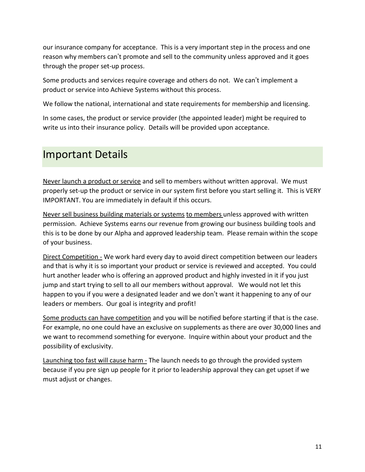our insurance company for acceptance. This is a very important step in the process and one reason why members can't promote and sell to the community unless approved and it goes through the proper set-up process.

Some products and services require coverage and others do not. We can't implement a product or service into Achieve Systems without this process.

We follow the national, international and state requirements for membership and licensing.

In some cases, the product or service provider (the appointed leader) might be required to write us into their insurance policy. Details will be provided upon acceptance.

## Important Details

Never launch a product or service and sell to members without written approval. We must properly set-up the product or service in our system first before you start selling it. This is VERY IMPORTANT. You are immediately in default if this occurs.

Never sell business building materials or systems to members unless approved with written permission. Achieve Systems earns our revenue from growing our business building tools and this is to be done by our Alpha and approved leadership team. Please remain within the scope of your business.

Direct Competition - We work hard every day to avoid direct competition between our leaders and that is why it is so important your product or service is reviewed and accepted. You could hurt another leader who is offering an approved product and highly invested in it if you just jump and start trying to sell to all our members without approval. We would not let this happen to you if you were a designated leader and we don't want it happening to any of our leaders or members. Our goal is integrity and profit!

Some products can have competition and you will be notified before starting if that is the case. For example, no one could have an exclusive on supplements as there are over 30,000 lines and we want to recommend something for everyone. Inquire within about your product and the possibility of exclusivity.

Launching too fast will cause harm - The launch needs to go through the provided system because if you pre sign up people for it prior to leadership approval they can get upset if we must adjust or changes.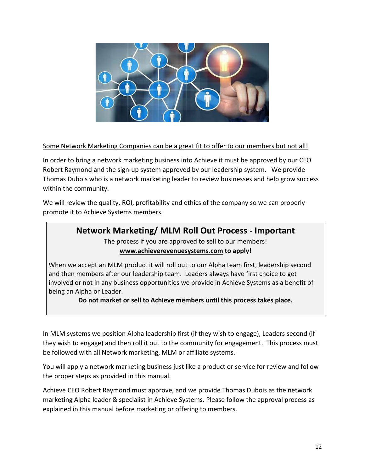

#### Some Network Marketing Companies can be a great fit to offer to our members but not all!

In order to bring a network marketing business into Achieve it must be approved by our CEO Robert Raymond and the sign-up system approved by our leadership system. We provide Thomas Dubois who is a network marketing leader to review businesses and help grow success within the community.

We will review the quality, ROI, profitability and ethics of the company so we can properly promote it to Achieve Systems members.

### **Network Marketing/ MLM Roll Out Process - Important**

The process if you are approved to sell to our members! **[www.achieverevenuesystems.com](http://www.achieverevenuesystems.com/) to apply!**

When we accept an MLM product it will roll out to our Alpha team first, leadership second and then members after our leadership team. Leaders always have first choice to get involved or not in any business opportunities we provide in Achieve Systems as a benefit of being an Alpha or Leader.

**Do not market or sell to Achieve members until this process takes place.**

In MLM systems we position Alpha leadership first (if they wish to engage), Leaders second (if they wish to engage) and then roll it out to the community for engagement. This process must be followed with all Network marketing, MLM or affiliate systems.

You will apply a network marketing business just like a product or service for review and follow the proper steps as provided in this manual.

Achieve CEO Robert Raymond must approve, and we provide Thomas Dubois as the network marketing Alpha leader & specialist in Achieve Systems. Please follow the approval process as explained in this manual before marketing or offering to members.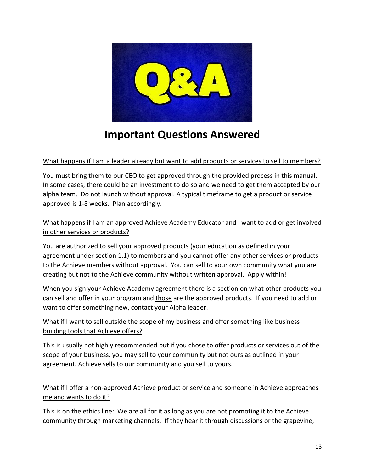

## **Important Questions Answered**

#### What happens if I am a leader already but want to add products or services to sell to members?

You must bring them to our CEO to get approved through the provided process in this manual. In some cases, there could be an investment to do so and we need to get them accepted by our alpha team. Do not launch without approval. A typical timeframe to get a product or service approved is 1-8 weeks. Plan accordingly.

#### What happens if I am an approved Achieve Academy Educator and I want to add or get involved in other services or products?

You are authorized to sell your approved products (your education as defined in your agreement under section 1.1) to members and you cannot offer any other services or products to the Achieve members without approval. You can sell to your own community what you are creating but not to the Achieve community without written approval. Apply within!

When you sign your Achieve Academy agreement there is a section on what other products you can sell and offer in your program and those are the approved products. If you need to add or want to offer something new, contact your Alpha leader.

#### What if I want to sell outside the scope of my business and offer something like business building tools that Achieve offers?

This is usually not highly recommended but if you chose to offer products or services out of the scope of your business, you may sell to your community but not ours as outlined in your agreement. Achieve sells to our community and you sell to yours.

#### What if I offer a non-approved Achieve product or service and someone in Achieve approaches me and wants to do it?

This is on the ethics line: We are all for it as long as you are not promoting it to the Achieve community through marketing channels. If they hear it through discussions or the grapevine,